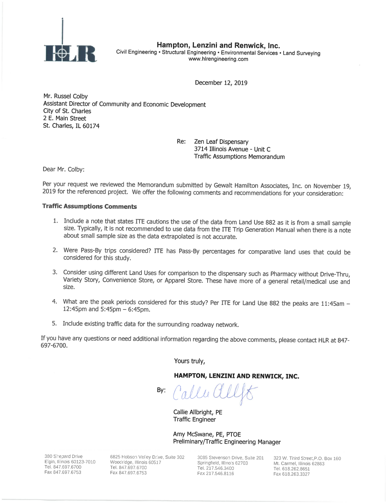

Hampton, Lenzini and Renwick, Inc.

Civil Engineering • Structural Engineering • Environmental Services • Land Surveying www.hlrengineering.com

December 12, 2019

Mr. Russel Colby Assistant Director of Community and Economic Development City of St. Charles 2 E. Main Street St. Charles, IL 60174

> Re: Zen Leaf Dispensary 3714 Illinois Avenue - Unit C **Traffic Assumptions Memorandum**

Dear Mr. Colby:

Per your request we reviewed the Memorandum submitted by Gewalt Hamilton Associates, Inc. on November 19, 2019 for the referenced project. We offer the following comments and recommendations for your consideration:

#### **Traffic Assumptions Comments**

- 1. Include a note that states ITE cautions the use of the data from Land Use 882 as it is from a small sample size. Typically, it is not recommended to use data from the ITE Trip Generation Manual when there is a note about small sample size as the data extrapolated is not accurate.
- 2. Were Pass-By trips considered? ITE has Pass-By percentages for comparative land uses that could be considered for this study.
- 3. Consider using different Land Uses for comparison to the dispensary such as Pharmacy without Drive-Thru, Variety Story, Convenience Store, or Apparel Store. These have more of a general retail/medical use and size.
- 4. What are the peak periods considered for this study? Per ITE for Land Use 882 the peaks are 11:45am -12:45pm and 5:45pm  $-$  6:45pm.
- 5. Include existing traffic data for the surrounding roadway network.

If you have any questions or need additional information regarding the above comments, please contact HLR at 847-697-6700.

Yours truly,

HAMPTON, LENZINI AND RENWICK, INC.

Bv:

Callie Allbright, PE **Traffic Engineer** 

Amy McSwane, PE, PTOE Preliminary/Traffic Engineering Manager

380 Shepard Drive Elgin, Illinois 60123-7010 Tel. 847.697.6700 Fax 847.697.6753

6825 Hobson Valley Drive, Suite 302 Woodridge, Illinois 60517 Tel. 847.697.6700 Fax 847.697.6753

3085 Stevenson Drive, Suite 201 Springfield, Illinois 62703 Tel. 217.546.3400 Fax 217.546.8116

323 W. Third Street, P.O. Box 160 Mt. Carmel, Illinois 62863 Tel. 618.262.8651 Fax 618,263,3327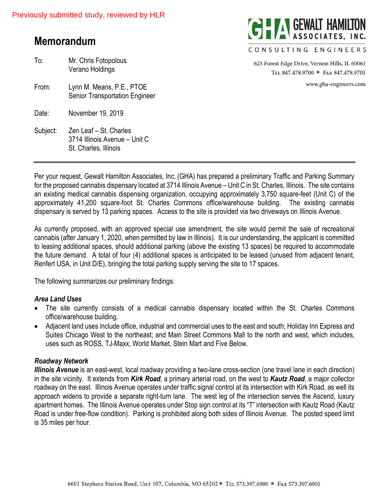# **Memorandum**

| To:      | Mr. Chris Fotopolous<br>Verano Holdings                                          |
|----------|----------------------------------------------------------------------------------|
| From:    | Lynn M. Means, P.E., PTOE<br><b>Senior Transportation Engineer</b>               |
| Date:    | November 19, 2019                                                                |
| Subject: | Zen Leaf - St. Charles<br>3714 Illinois Avenue – Unit C<br>St. Charles, Illinois |



#### CONSULTING ENGINEERS

625 Forest Edge Drive, Vernon Hills, IL 60061 TEL 847.478.9700 EAX 847.478.9701

www.gha-engineers.com

Per your request, Gewalt Hamilton Associates, Inc. (GHA) has prepared a preliminary Traffic and Parking Summary for the proposed cannabis dispensary located at 3714 Illinois Avenue – Unit C in St. Charles, Illinois. The site contains an existing medical cannabis dispensing organization, occupying approximately 3,750 square-feet (Unit C) of the approximately 41,200 square-foot St. Charles Commons office/warehouse building. The existing cannabis dispensary is served by 13 parking spaces. Access to the site is provided via two driveways on Illinois Avenue.

As currently proposed, with an approved special use amendment, the site would permit the sale of recreational cannabis (after January 1, 2020, when permitted by law in Illinois). It is our understanding, the applicant is committed to leasing additional spaces, should additional parking (above the existing 13 spaces) be required to accommodate the future demand. A total of four (4) additional spaces is anticipated to be leased (unused from adjacent tenant, Renfert USA, in Unit D/E), bringing the total parking supply serving the site to 17 spaces.

The following summarizes our preliminary findings:

## *Area Land Uses*

- The site currently consists of a medical cannabis dispensary located within the St. Charles Commons office/warehouse building.
- Adjacent land uses include office, industrial and commercial uses to the east and south; Holiday Inn Express and Suites Chicago West to the northeast; and Main Street Commons Mall to the north and west, which includes, uses such as ROSS, TJ-Maxx, World Market, Stein Mart and Five Below.

## *Roadway Network*

*Illinois Avenue* is an east-west, local roadway providing a two-lane cross-section (one travel lane in each direction) in the site vicinity. It extends from *Kirk Road*, a primary arterial road, on the west to *Kautz Road*, a major collector roadway on the east. Illinois Avenue operates under traffic signal control at its intersection with Kirk Road, as well its approach widens to provide a separate right-turn lane. The west leg of the intersection serves the Ascend, luxury apartment homes. The Illinois Avenue operates under Stop sign control at its "T" intersection with Kautz Road (Kautz Road is under free-flow condition). Parking is prohibited along both sides of Illinois Avenue. The posted speed limit is 35 miles per hour.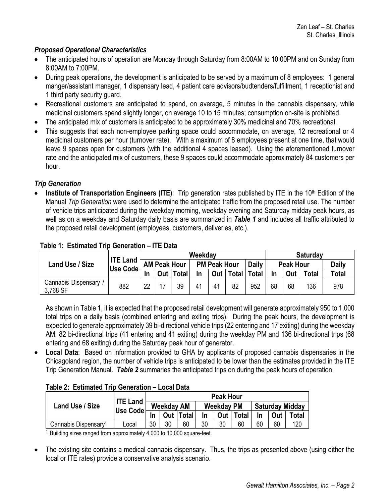## *Proposed Operational Characteristics*

- The anticipated hours of operation are Monday through Saturday from 8:00AM to 10:00PM and on Sunday from 8:00AM to 7:00PM.
- During peak operations, the development is anticipated to be served by a maximum of 8 employees: 1 general manger/assistant manager, 1 dispensary lead, 4 patient care advisors/budtenders/fulfillment, 1 receptionist and 1 third party security guard.
- Recreational customers are anticipated to spend, on average, 5 minutes in the cannabis dispensary, while medicinal customers spend slightly longer, on average 10 to 15 minutes; consumption on-site is prohibited.
- The anticipated mix of customers is anticipated to be approximately 30% medicinal and 70% recreational.
- This suggests that each non-employee parking space could accommodate, on average, 12 recreational or 4 medicinal customers per hour (turnover rate). With a maximum of 8 employees present at one time, that would leave 9 spaces open for customers (with the additional 4 spaces leased). Using the aforementioned turnover rate and the anticipated mix of customers, these 9 spaces could accommodate approximately 84 customers per hour.

## *Trip Generation*

**Institute of Transportation Engineers (ITE):** Trip generation rates published by ITE in the 10<sup>th</sup> Edition of the Manual *Trip Generation* were used to determine the anticipated traffic from the proposed retail use. The number of vehicle trips anticipated during the weekday morning, weekday evening and Saturday midday peak hours, as well as on a weekday and Saturday daily basis are summarized in *Table 1* and includes all traffic attributed to the proposed retail development (employees, customers, deliveries, etc.).

| <b>Land Use / Size</b>          |                             | Weekday             |     |              |                     |                  |              |               |                  | <b>Saturday</b> |       |              |  |
|---------------------------------|-----------------------------|---------------------|-----|--------------|---------------------|------------------|--------------|---------------|------------------|-----------------|-------|--------------|--|
|                                 | <b>ITE Land</b><br>Use Code | <b>AM Peak Hour</b> |     |              | <b>PM Peak Hour</b> |                  |              | <b>Daily</b>  | <b>Peak Hour</b> |                 |       | <b>Daily</b> |  |
|                                 |                             |                     | Out | <b>Total</b> | In                  | Out <sub>1</sub> | <b>Total</b> | <b>∣Total</b> |                  | Out             | Total | Total        |  |
| Cannabis Dispensary<br>3,768 SF | 882                         | 22                  |     | 39           |                     | 41               | 82           | 952           | 68               | 68              | 136   | 978          |  |

## **Table 1: Estimated Trip Generation – ITE Data**

As shown in Table 1, it is expected that the proposed retail development will generate approximately 950 to 1,000 total trips on a daily basis (combined entering and exiting trips). During the peak hours, the development is expected to generate approximately 39 bi-directional vehicle trips (22 entering and 17 exiting) during the weekday AM, 82 bi-directional trips (41 entering and 41 exiting) during the weekday PM and 136 bi-directional trips (68 entering and 68 exiting) during the Saturday peak hour of generator.

 **Local Data**: Based on information provided to GHA by applicants of proposed cannabis dispensaries in the Chicagoland region, the number of vehicle trips is anticipated to be lower than the estimates provided in the ITE Trip Generation Manual. *Table 2* summaries the anticipated trips on during the peak hours of operation.

## **Table 2: Estimated Trip Generation – Local Data**

| Land Use / Size                  |                             | <b>Peak Hour</b> |                   |              |                   |     |              |                        |     |             |  |  |
|----------------------------------|-----------------------------|------------------|-------------------|--------------|-------------------|-----|--------------|------------------------|-----|-------------|--|--|
|                                  | <b>ITE Land</b><br>Use Code |                  | <b>Weekday AM</b> |              | <b>Weekdav PM</b> |     |              | <b>Saturday Midday</b> |     |             |  |  |
|                                  |                             | In               | Out               | <b>Total</b> |                   | Out | <b>Total</b> | In                     | Out | $\tau$ otal |  |  |
| Cannabis Dispensary <sup>1</sup> | .ocal                       | 30               | 30                | 60           | 30                | 30  | 60           | 60                     | 60  | 120         |  |  |

1 Building sizes ranged from approximately 4,000 to 10,000 square-feet.

 The existing site contains a medical cannabis dispensary. Thus, the trips as presented above (using either the local or ITE rates) provide a conservative analysis scenario.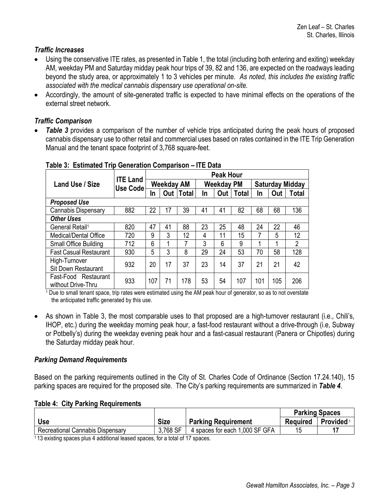## *Traffic Increases*

- Using the conservative ITE rates, as presented in Table 1, the total (including both entering and exiting) weekday AM, weekday PM and Saturday midday peak hour trips of 39, 82 and 136, are expected on the roadways leading beyond the study area, or approximately 1 to 3 vehicles per minute. *As noted, this includes the existing traffic associated with the medical cannabis dispensary use operational on-site.*
- Accordingly, the amount of site-generated traffic is expected to have minimal effects on the operations of the external street network.

# *Traffic Comparison*

**Table 3** provides a comparison of the number of vehicle trips anticipated during the peak hours of proposed cannabis dispensary use to other retail and commercial uses based on rates contained in the ITE Trip Generation Manual and the tenant space footprint of 3,768 square-feet.

|                                             |                                    | <b>Peak Hour</b> |                   |              |    |                   |              |                        |     |       |  |  |
|---------------------------------------------|------------------------------------|------------------|-------------------|--------------|----|-------------------|--------------|------------------------|-----|-------|--|--|
| Land Use / Size                             | <b>ITE Land</b><br><b>Use Code</b> |                  | <b>Weekday AM</b> |              |    | <b>Weekday PM</b> |              | <b>Saturday Midday</b> |     |       |  |  |
|                                             |                                    | In               | Out               | <b>Total</b> | In | Out               | <b>Total</b> | In.                    | Out | Total |  |  |
| <b>Proposed Use</b>                         |                                    |                  |                   |              |    |                   |              |                        |     |       |  |  |
| <b>Cannabis Dispensary</b>                  | 882                                | 22               | 17                | 39           | 41 | 41                | 82           | 68                     | 68  | 136   |  |  |
| <b>Other Uses</b>                           |                                    |                  |                   |              |    |                   |              |                        |     |       |  |  |
| General Retail <sup>1</sup>                 | 820                                | 47               | 41                | 88           | 23 | 25                | 48           | 24                     | 22  | 46    |  |  |
| Medical/Dental Office                       | 720                                | 9                | 3                 | 12           | 4  | 11                | 15           |                        | 5   | 12    |  |  |
| Small Office Building                       | 712                                | 6                | 1                 |              | 3  | 6                 | 9            |                        | 1   | 2     |  |  |
| <b>Fast Casual Restaurant</b>               | 930                                | 5                | 3                 | 8            | 29 | 24                | 53           | 70                     | 58  | 128   |  |  |
| High-Turnover<br><b>Sit Down Restaurant</b> | 932                                | 20               | 17                | 37           | 23 | 14                | 37           | 21                     | 21  | 42    |  |  |
| Fast-Food Restaurant<br>without Drive-Thru  | 933                                | 107              | 71                | 178          | 53 | 54                | 107          | 101                    | 105 | 206   |  |  |

# **Table 3: Estimated Trip Generation Comparison – ITE Data**

<sup>1</sup> Due to small tenant space, trip rates were estimated using the AM peak hour of generator, so as to not overstate the anticipated traffic generated by this use.

 As shown in Table 3, the most comparable uses to that proposed are a high-turnover restaurant (i.e., Chili's, IHOP, etc.) during the weekday morning peak hour, a fast-food restaurant without a drive-through (i.e, Subway or Potbelly's) during the weekday evening peak hour and a fast-casual restaurant (Panera or Chipotles) during the Saturday midday peak hour.

## *Parking Demand Requirements*

Based on the parking requirements outlined in the City of St. Charles Code of Ordinance (Section 17.24.140), 15 parking spaces are required for the proposed site. The City's parking requirements are summarized in *Table 4*.

#### **Table 4: City Parking Requirements**

|                                  |             |                                | <b>Parking Spaces</b> |                 |  |  |
|----------------------------------|-------------|--------------------------------|-----------------------|-----------------|--|--|
| <b>Use</b>                       | <b>Size</b> | <b>Parking Requirement</b>     | <b>Required</b>       | <b>Provided</b> |  |  |
| Recreational Cannabis Dispensary | 3,768 SF    | 4 spaces for each 1,000 SF GFA |                       | 17              |  |  |

1 13 existing spaces plus 4 additional leased spaces, for a total of 17 spaces.